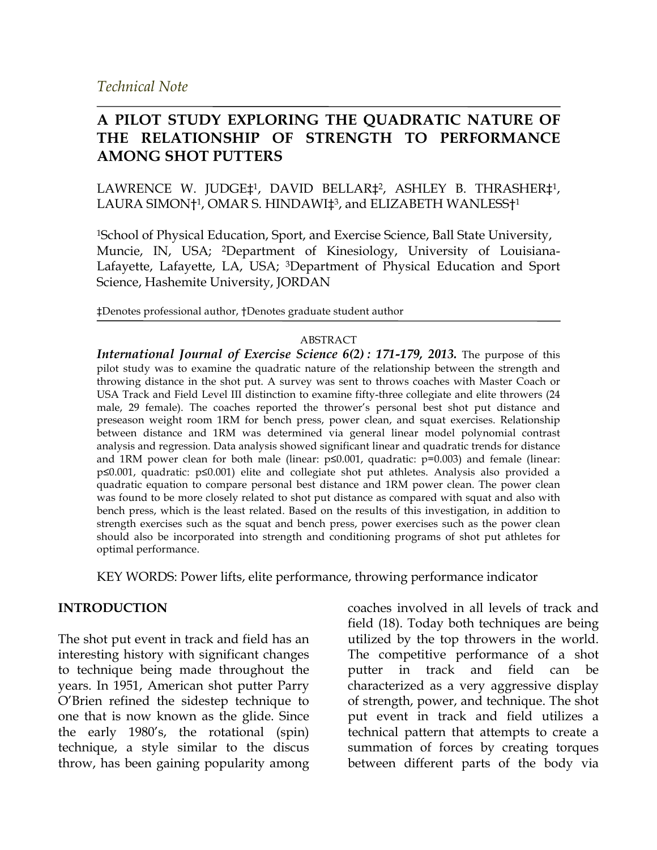## **A PILOT STUDY EXPLORING THE QUADRATIC NATURE OF THE RELATIONSHIP OF STRENGTH TO PERFORMANCE AMONG SHOT PUTTERS**

LAWRENCE W. JUDGE‡1, DAVID BELLAR‡2, ASHLEY B. THRASHER‡1, LAURA SIMON†<sup>1</sup>, OMAR S. HINDAWI‡<sup>3</sup>, and ELIZABETH WANLESS†<sup>1</sup>

1School of Physical Education, Sport, and Exercise Science, Ball State University, Muncie, IN, USA; 2Department of Kinesiology, University of Louisiana-Lafayette, Lafayette, LA, USA; 3Department of Physical Education and Sport Science, Hashemite University, JORDAN

‡Denotes professional author, †Denotes graduate student author

#### ABSTRACT

*International Journal of Exercise Science 6(2) : 171-179, 2013.* The purpose of this pilot study was to examine the quadratic nature of the relationship between the strength and throwing distance in the shot put. A survey was sent to throws coaches with Master Coach or USA Track and Field Level III distinction to examine fifty-three collegiate and elite throwers (24 male, 29 female). The coaches reported the thrower's personal best shot put distance and preseason weight room 1RM for bench press, power clean, and squat exercises. Relationship between distance and 1RM was determined via general linear model polynomial contrast analysis and regression. Data analysis showed significant linear and quadratic trends for distance and 1RM power clean for both male (linear: p≤0.001, quadratic: p=0.003) and female (linear: p≤0.001, quadratic: p≤0.001) elite and collegiate shot put athletes. Analysis also provided a quadratic equation to compare personal best distance and 1RM power clean. The power clean was found to be more closely related to shot put distance as compared with squat and also with bench press, which is the least related. Based on the results of this investigation, in addition to strength exercises such as the squat and bench press, power exercises such as the power clean should also be incorporated into strength and conditioning programs of shot put athletes for optimal performance.

KEY WORDS: Power lifts, elite performance, throwing performance indicator

#### **INTRODUCTION**

The shot put event in track and field has an interesting history with significant changes to technique being made throughout the years. In 1951, American shot putter Parry O'Brien refined the sidestep technique to one that is now known as the glide. Since the early 1980's, the rotational (spin) technique, a style similar to the discus throw, has been gaining popularity among

coaches involved in all levels of track and field (18). Today both techniques are being utilized by the top throwers in the world. The competitive performance of a shot putter in track and field can be characterized as a very aggressive display of strength, power, and technique. The shot put event in track and field utilizes a technical pattern that attempts to create a summation of forces by creating torques between different parts of the body via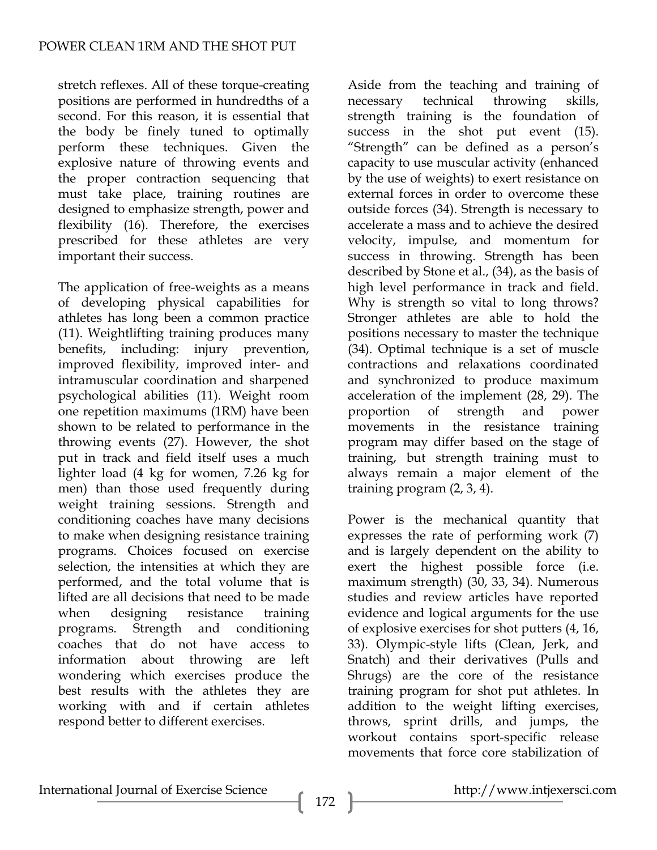stretch reflexes. All of these torque-creating positions are performed in hundredths of a second. For this reason, it is essential that the body be finely tuned to optimally perform these techniques. Given the explosive nature of throwing events and the proper contraction sequencing that must take place, training routines are designed to emphasize strength, power and flexibility (16). Therefore, the exercises prescribed for these athletes are very important their success.

The application of free-weights as a means of developing physical capabilities for athletes has long been a common practice (11). Weightlifting training produces many benefits, including: injury prevention, improved flexibility, improved inter- and intramuscular coordination and sharpened psychological abilities (11). Weight room one repetition maximums (1RM) have been shown to be related to performance in the throwing events (27). However, the shot put in track and field itself uses a much lighter load (4 kg for women, 7.26 kg for men) than those used frequently during weight training sessions. Strength and conditioning coaches have many decisions to make when designing resistance training programs. Choices focused on exercise selection, the intensities at which they are performed, and the total volume that is lifted are all decisions that need to be made when designing resistance training programs. Strength and conditioning coaches that do not have access to information about throwing are left wondering which exercises produce the best results with the athletes they are working with and if certain athletes respond better to different exercises.

Aside from the teaching and training of necessary technical throwing skills, strength training is the foundation of success in the shot put event (15). "Strength" can be defined as a person's capacity to use muscular activity (enhanced by the use of weights) to exert resistance on external forces in order to overcome these outside forces (34). Strength is necessary to accelerate a mass and to achieve the desired velocity, impulse, and momentum for success in throwing. Strength has been described by Stone et al., (34), as the basis of high level performance in track and field. Why is strength so vital to long throws? Stronger athletes are able to hold the positions necessary to master the technique (34). Optimal technique is a set of muscle contractions and relaxations coordinated and synchronized to produce maximum acceleration of the implement (28, 29). The proportion of strength and power movements in the resistance training program may differ based on the stage of training, but strength training must to always remain a major element of the training program (2, 3, 4).

Power is the mechanical quantity that expresses the rate of performing work (7) and is largely dependent on the ability to exert the highest possible force (i.e. maximum strength) (30, 33, 34). Numerous studies and review articles have reported evidence and logical arguments for the use of explosive exercises for shot putters (4, 16, 33). Olympic-style lifts (Clean, Jerk, and Snatch) and their derivatives (Pulls and Shrugs) are the core of the resistance training program for shot put athletes. In addition to the weight lifting exercises, throws, sprint drills, and jumps, the workout contains sport-specific release movements that force core stabilization of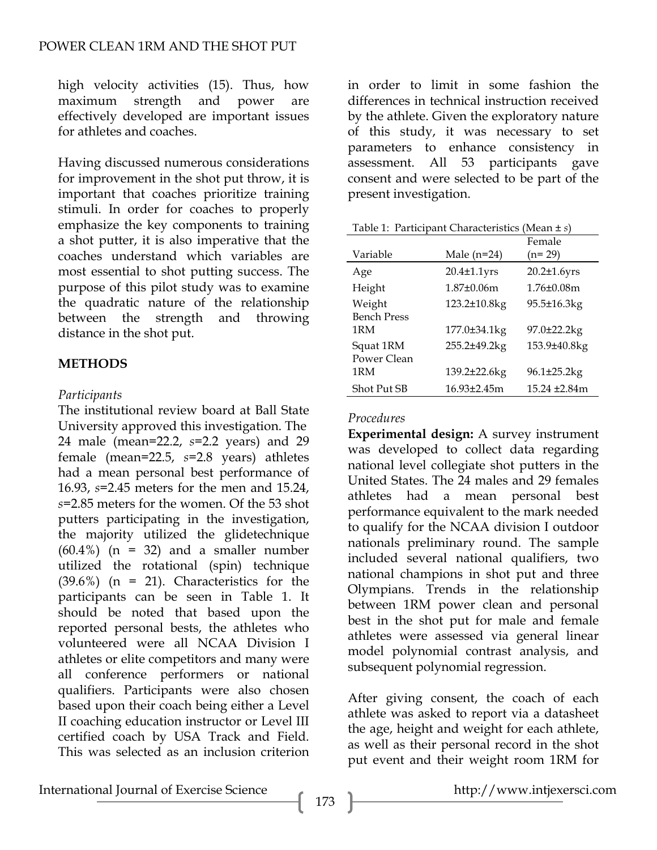high velocity activities (15). Thus, how maximum strength and power are effectively developed are important issues for athletes and coaches.

Having discussed numerous considerations for improvement in the shot put throw, it is important that coaches prioritize training stimuli. In order for coaches to properly emphasize the key components to training a shot putter, it is also imperative that the coaches understand which variables are most essential to shot putting success. The purpose of this pilot study was to examine the quadratic nature of the relationship between the strength and throwing distance in the shot put.

## **METHODS**

### *Participants*

The institutional review board at Ball State University approved this investigation. The 24 male (mean=22.2, *s*=2.2 years) and 29 female (mean=22.5, *s*=2.8 years) athletes had a mean personal best performance of 16.93, *s*=2.45 meters for the men and 15.24, *s*=2.85 meters for the women. Of the 53 shot putters participating in the investigation, the majority utilized the glidetechnique  $(60.4\%)$  (n = 32) and a smaller number utilized the rotational (spin) technique  $(39.6\%)$  (n = 21). Characteristics for the participants can be seen in Table 1. It should be noted that based upon the reported personal bests, the athletes who volunteered were all NCAA Division I athletes or elite competitors and many were all conference performers or national qualifiers. Participants were also chosen based upon their coach being either a Level II coaching education instructor or Level III certified coach by USA Track and Field. This was selected as an inclusion criterion

in order to limit in some fashion the differences in technical instruction received by the athlete. Given the exploratory nature of this study, it was necessary to set parameters to enhance consistency in assessment. All 53 participants gave consent and were selected to be part of the present investigation.

| Table 1: Participant Characteristics (Mean $\pm s$ ) |                    |                    |
|------------------------------------------------------|--------------------|--------------------|
|                                                      |                    | Female             |
| Variable                                             | Male $(n=24)$      | $(n=29)$           |
| Age                                                  | $20.4 \pm 1.1$ yrs | $20.2 \pm 1.6$ yrs |
| Height                                               | $1.87\pm0.06m$     | $1.76 \pm 0.08$ m  |
| Weight                                               | 123.2±10.8kg       | 95.5±16.3kg        |
| <b>Bench Press</b>                                   |                    |                    |
| 1RM                                                  | 177.0±34.1kg       | 97.0±22.2kg        |
| Squat 1RM                                            | 255.2±49.2kg       | 153.9±40.8kg       |
| Power Clean                                          |                    |                    |
| 1RM                                                  | 139.2±22.6kg       | 96.1±25.2kg        |
| <b>Shot Put SB</b>                                   | 16.93±2.45m        | 15.24 ±2.84m       |

## *Procedures*

**Experimental design:** A survey instrument was developed to collect data regarding national level collegiate shot putters in the United States. The 24 males and 29 females athletes had a mean personal best performance equivalent to the mark needed to qualify for the NCAA division I outdoor nationals preliminary round. The sample included several national qualifiers, two national champions in shot put and three Olympians. Trends in the relationship between 1RM power clean and personal best in the shot put for male and female athletes were assessed via general linear model polynomial contrast analysis, and subsequent polynomial regression.

After giving consent, the coach of each athlete was asked to report via a datasheet the age, height and weight for each athlete, as well as their personal record in the shot put event and their weight room 1RM for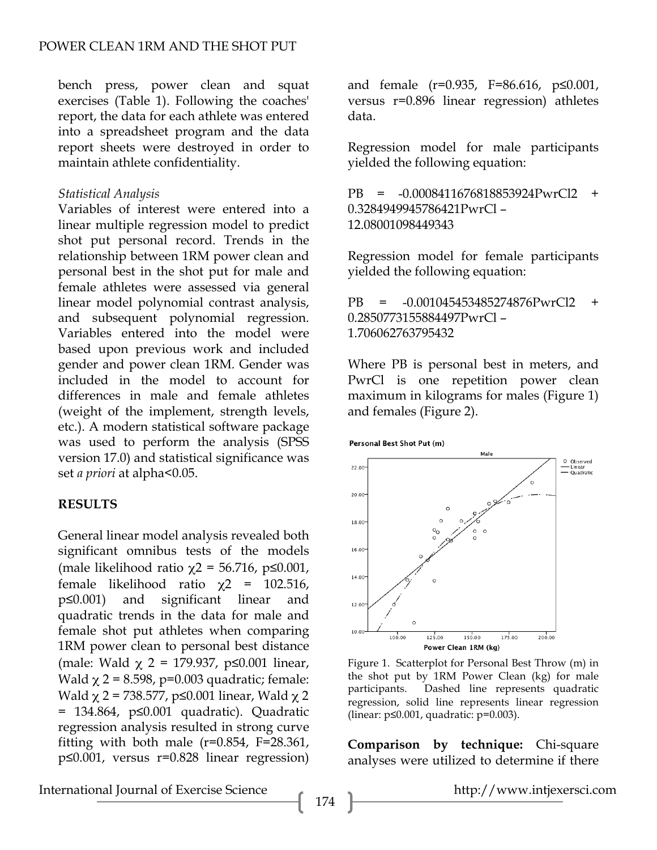bench press, power clean and squat exercises (Table 1). Following the coaches' report, the data for each athlete was entered into a spreadsheet program and the data report sheets were destroyed in order to maintain athlete confidentiality.

#### *Statistical Analysis*

Variables of interest were entered into a linear multiple regression model to predict shot put personal record. Trends in the relationship between 1RM power clean and personal best in the shot put for male and female athletes were assessed via general linear model polynomial contrast analysis, and subsequent polynomial regression. Variables entered into the model were based upon previous work and included gender and power clean 1RM. Gender was included in the model to account for differences in male and female athletes (weight of the implement, strength levels, etc.). A modern statistical software package was used to perform the analysis (SPSS version 17.0) and statistical significance was set *a priori* at alpha<0.05.

#### **RESULTS**

General linear model analysis revealed both significant omnibus tests of the models (male likelihood ratio  $\chi$ 2 = 56.716, p≤0.001, female likelihood ratio χ2 = 102.516, p≤0.001) and significant linear and quadratic trends in the data for male and female shot put athletes when comparing 1RM power clean to personal best distance (male: Wald  $\chi$  2 = 179.937, p ≤0.001 linear, Wald  $\chi$  2 = 8.598, p=0.003 quadratic; female: Wald  $χ$  2 = 738.577, p≤0.001 linear, Wald  $χ$  2 = 134.864, p≤0.001 quadratic). Quadratic regression analysis resulted in strong curve fitting with both male  $(r=0.854, F=28.361,$ p≤0.001, versus r=0.828 linear regression) and female (r=0.935, F=86.616, p≤0.001, versus r=0.896 linear regression) athletes data.

Regression model for male participants yielded the following equation:

PB = -0.0008411676818853924PwrCl2 + 0.3284949945786421PwrCl – 12.08001098449343

Regression model for female participants yielded the following equation:

PB = -0.001045453485274876PwrCl2 + 0.2850773155884497PwrCl – 1.706062763795432

Where PB is personal best in meters, and PwrCl is one repetition power clean maximum in kilograms for males (Figure 1) and females (Figure 2).





Figure 1. Scatterplot for Personal Best Throw (m) in the shot put by 1RM Power Clean (kg) for male participants. Dashed line represents quadratic regression, solid line represents linear regression (linear: p≤0.001, quadratic: p=0.003).

**Comparison by technique:** Chi-square analyses were utilized to determine if there

International Journal of Exercise Science http://www.intjexersci.com http://www.intjexersci.com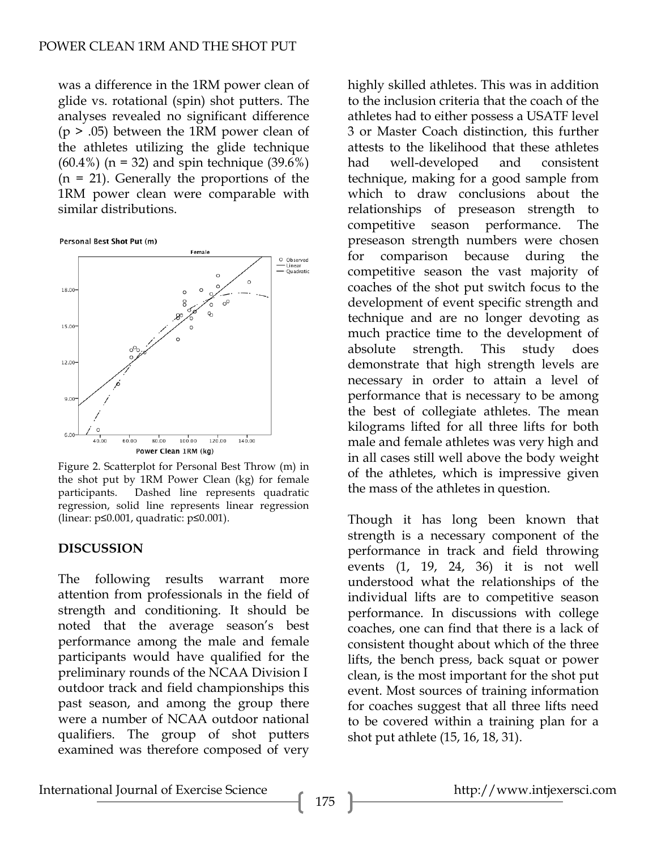was a difference in the 1RM power clean of glide vs. rotational (spin) shot putters. The analyses revealed no significant difference  $(p > .05)$  between the 1RM power clean of the athletes utilizing the glide technique  $(60.4\%)$  (n = 32) and spin technique (39.6%)  $(n = 21)$ . Generally the proportions of the 1RM power clean were comparable with similar distributions.

Personal Best Shot Put (m)



Figure 2. Scatterplot for Personal Best Throw (m) in the shot put by 1RM Power Clean (kg) for female participants. Dashed line represents quadratic regression, solid line represents linear regression (linear: p≤0.001, quadratic: p≤0.001).

#### **DISCUSSION**

The following results warrant more attention from professionals in the field of strength and conditioning. It should be noted that the average season's best performance among the male and female participants would have qualified for the preliminary rounds of the NCAA Division I outdoor track and field championships this past season, and among the group there were a number of NCAA outdoor national qualifiers. The group of shot putters examined was therefore composed of very highly skilled athletes. This was in addition to the inclusion criteria that the coach of the athletes had to either possess a USATF level 3 or Master Coach distinction, this further attests to the likelihood that these athletes had well-developed and consistent technique, making for a good sample from which to draw conclusions about the relationships of preseason strength to competitive season performance. The preseason strength numbers were chosen for comparison because during the competitive season the vast majority of coaches of the shot put switch focus to the development of event specific strength and technique and are no longer devoting as much practice time to the development of absolute strength. This study does demonstrate that high strength levels are necessary in order to attain a level of performance that is necessary to be among the best of collegiate athletes. The mean kilograms lifted for all three lifts for both male and female athletes was very high and in all cases still well above the body weight of the athletes, which is impressive given the mass of the athletes in question.

Though it has long been known that strength is a necessary component of the performance in track and field throwing events (1, 19, 24, 36) it is not well understood what the relationships of the individual lifts are to competitive season performance. In discussions with college coaches, one can find that there is a lack of consistent thought about which of the three lifts, the bench press, back squat or power clean, is the most important for the shot put event. Most sources of training information for coaches suggest that all three lifts need to be covered within a training plan for a shot put athlete (15, 16, 18, 31).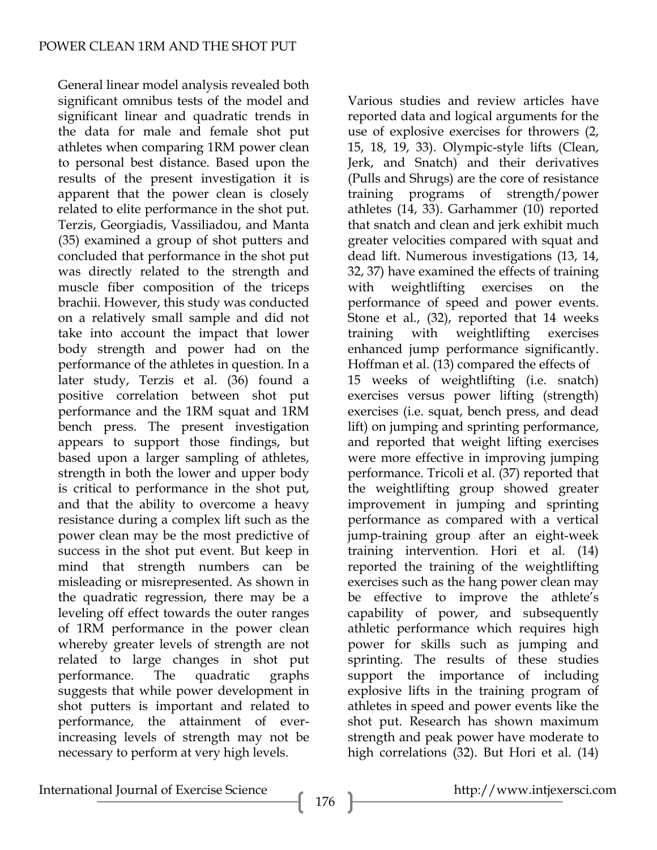General linear model analysis revealed both significant omnibus tests of the model and significant linear and quadratic trends in the data for male and female shot put athletes when comparing 1RM power clean to personal best distance. Based upon the results of the present investigation it is apparent that the power clean is closely related to elite performance in the shot put. Terzis, Georgiadis, Vassiliadou, and Manta (35) examined a group of shot putters and concluded that performance in the shot put was directly related to the strength and muscle fiber composition of the triceps brachii. However, this study was conducted on a relatively small sample and did not take into account the impact that lower body strength and power had on the performance of the athletes in question. In a later study, Terzis et al. (36) found a positive correlation between shot put performance and the 1RM squat and 1RM bench press. The present investigation appears to support those findings, but based upon a larger sampling of athletes, strength in both the lower and upper body is critical to performance in the shot put, and that the ability to overcome a heavy resistance during a complex lift such as the power clean may be the most predictive of success in the shot put event. But keep in mind that strength numbers can be misleading or misrepresented. As shown in the quadratic regression, there may be a leveling off effect towards the outer ranges of 1RM performance in the power clean whereby greater levels of strength are not related to large changes in shot put performance. The quadratic graphs suggests that while power development in shot putters is important and related to performance, the attainment of everincreasing levels of strength may not be necessary to perform at very high levels.

Various studies and review articles have reported data and logical arguments for the use of explosive exercises for throwers (2, 15, 18, 19, 33). Olympic-style lifts (Clean, Jerk, and Snatch) and their derivatives (Pulls and Shrugs) are the core of resistance training programs of strength/power athletes (14, 33). Garhammer (10) reported that snatch and clean and jerk exhibit much greater velocities compared with squat and dead lift. Numerous investigations (13, 14, 32, 37) have examined the effects of training with weightlifting exercises on the performance of speed and power events. Stone et al., (32), reported that 14 weeks training with weightlifting exercises enhanced jump performance significantly. Hoffman et al. (13) compared the effects of 15 weeks of weightlifting (i.e. snatch) exercises versus power lifting (strength) exercises (i.e. squat, bench press, and dead lift) on jumping and sprinting performance, and reported that weight lifting exercises were more effective in improving jumping performance. Tricoli et al. (37) reported that the weightlifting group showed greater improvement in jumping and sprinting performance as compared with a vertical jump-training group after an eight-week training intervention. Hori et al. (14) reported the training of the weightlifting exercises such as the hang power clean may be effective to improve the athlete's capability of power, and subsequently athletic performance which requires high power for skills such as jumping and sprinting. The results of these studies support the importance of including explosive lifts in the training program of athletes in speed and power events like the shot put. Research has shown maximum strength and peak power have moderate to high correlations (32). But Hori et al. (14)

International Journal of Exercise Science http://www.intjexersci.com http://www.intjexersci.com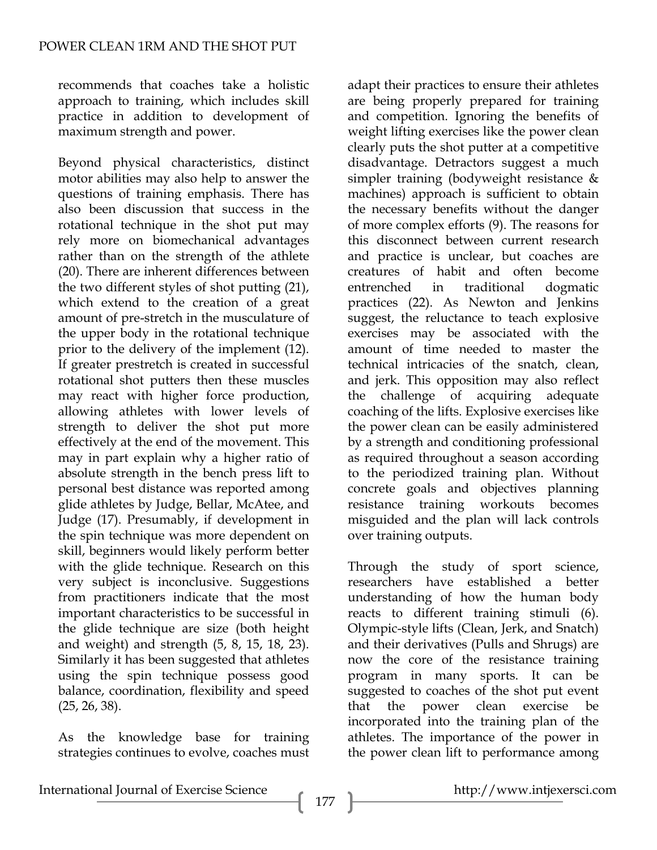recommends that coaches take a holistic approach to training, which includes skill practice in addition to development of maximum strength and power.

Beyond physical characteristics, distinct motor abilities may also help to answer the questions of training emphasis. There has also been discussion that success in the rotational technique in the shot put may rely more on biomechanical advantages rather than on the strength of the athlete (20). There are inherent differences between the two different styles of shot putting (21), which extend to the creation of a great amount of pre-stretch in the musculature of the upper body in the rotational technique prior to the delivery of the implement (12). If greater prestretch is created in successful rotational shot putters then these muscles may react with higher force production, allowing athletes with lower levels of strength to deliver the shot put more effectively at the end of the movement. This may in part explain why a higher ratio of absolute strength in the bench press lift to personal best distance was reported among glide athletes by Judge, Bellar, McAtee, and Judge (17). Presumably, if development in the spin technique was more dependent on skill, beginners would likely perform better with the glide technique. Research on this very subject is inconclusive. Suggestions from practitioners indicate that the most important characteristics to be successful in the glide technique are size (both height and weight) and strength (5, 8, 15, 18, 23). Similarly it has been suggested that athletes using the spin technique possess good balance, coordination, flexibility and speed (25, 26, 38).

As the knowledge base for training strategies continues to evolve, coaches must adapt their practices to ensure their athletes are being properly prepared for training and competition. Ignoring the benefits of weight lifting exercises like the power clean clearly puts the shot putter at a competitive disadvantage. Detractors suggest a much simpler training (bodyweight resistance & machines) approach is sufficient to obtain the necessary benefits without the danger of more complex efforts (9). The reasons for this disconnect between current research and practice is unclear, but coaches are creatures of habit and often become entrenched in traditional dogmatic practices (22). As Newton and Jenkins suggest, the reluctance to teach explosive exercises may be associated with the amount of time needed to master the technical intricacies of the snatch, clean, and jerk. This opposition may also reflect the challenge of acquiring adequate coaching of the lifts. Explosive exercises like the power clean can be easily administered by a strength and conditioning professional as required throughout a season according to the periodized training plan. Without concrete goals and objectives planning resistance training workouts becomes misguided and the plan will lack controls over training outputs.

Through the study of sport science, researchers have established a better understanding of how the human body reacts to different training stimuli (6). Olympic-style lifts (Clean, Jerk, and Snatch) and their derivatives (Pulls and Shrugs) are now the core of the resistance training program in many sports. It can be suggested to coaches of the shot put event that the power clean exercise be incorporated into the training plan of the athletes. The importance of the power in the power clean lift to performance among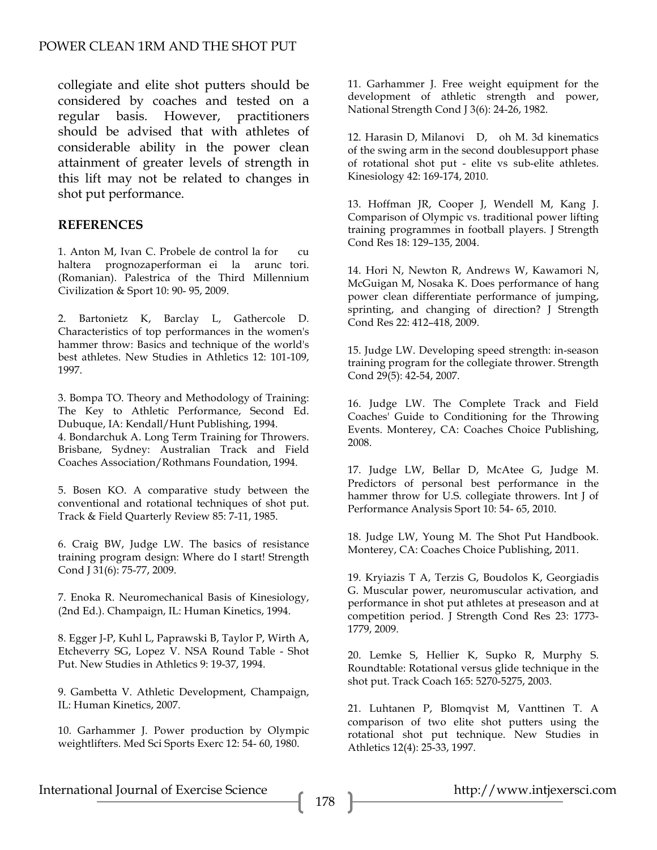collegiate and elite shot putters should be considered by coaches and tested on a regular basis. However, practitioners should be advised that with athletes of considerable ability in the power clean attainment of greater levels of strength in this lift may not be related to changes in shot put performance.

#### **REFERENCES**

1. Anton M, Ivan C. Probele de control la for cu haltera prognozaperformanei la arunctori. (Romanian). Palestrica of the Third Millennium Civilization & Sport 10: 90- 95, 2009.

2. Bartonietz K, Barclay L, Gathercole D. Characteristics of top performances in the women's hammer throw: Basics and technique of the world's best athletes. New Studies in Athletics 12: 101-109, 1997.

3. Bompa TO. Theory and Methodology of Training: The Key to Athletic Performance, Second Ed. Dubuque, IA: Kendall/Hunt Publishing, 1994. 4. Bondarchuk A. Long Term Training for Throwers. Brisbane, Sydney: Australian Track and Field Coaches Association/Rothmans Foundation, 1994.

5. Bosen KO. A comparative study between the conventional and rotational techniques of shot put. Track & Field Quarterly Review 85: 7-11, 1985.

6. Craig BW, Judge LW. The basics of resistance training program design: Where do I start! Strength Cond J 31(6): 75-77, 2009.

7. Enoka R. Neuromechanical Basis of Kinesiology, (2nd Ed.). Champaign, IL: Human Kinetics, 1994.

8. Egger J-P, Kuhl L, Paprawski B, Taylor P, Wirth A, Etcheverry SG, Lopez V. NSA Round Table - Shot Put. New Studies in Athletics 9: 19-37, 1994.

9. Gambetta V. Athletic Development, Champaign, IL: Human Kinetics, 2007.

10. Garhammer J. Power production by Olympic weightlifters. Med Sci Sports Exerc 12: 54- 60, 1980.

11. Garhammer J. Free weight equipment for the development of athletic strength and power, National Strength Cond J 3(6): 24-26, 1982.

12. Harasin D, Milanovi D, oh M. 3d kinematics of the swing arm in the second doublesupport phase of rotational shot put - elite vs sub-elite athletes. Kinesiology 42: 169-174, 2010.

13. Hoffman JR, Cooper J, Wendell M, Kang J. Comparison of Olympic vs. traditional power lifting training programmes in football players. J Strength Cond Res 18: 129–135, 2004.

14. Hori N, Newton R, Andrews W, Kawamori N, McGuigan M, Nosaka K. Does performance of hang power clean differentiate performance of jumping, sprinting, and changing of direction? J Strength Cond Res 22: 412–418, 2009.

15. Judge LW. Developing speed strength: in-season training program for the collegiate thrower. Strength Cond 29(5): 42-54, 2007.

16. Judge LW. The Complete Track and Field Coaches' Guide to Conditioning for the Throwing Events. Monterey, CA: Coaches Choice Publishing, 2008.

17. Judge LW, Bellar D, McAtee G, Judge M. Predictors of personal best performance in the hammer throw for U.S. collegiate throwers. Int J of Performance Analysis Sport 10: 54- 65, 2010.

18. Judge LW, Young M. The Shot Put Handbook. Monterey, CA: Coaches Choice Publishing, 2011.

19. Kryiazis T A, Terzis G, Boudolos K, Georgiadis G. Muscular power, neuromuscular activation, and performance in shot put athletes at preseason and at competition period. J Strength Cond Res 23: 1773- 1779, 2009.

20. Lemke S, Hellier K, Supko R, Murphy S. Roundtable: Rotational versus glide technique in the shot put. Track Coach 165: 5270-5275, 2003.

21. Luhtanen P, Blomqvist M, Vanttinen T. A comparison of two elite shot putters using the rotational shot put technique. New Studies in Athletics 12(4): 25-33, 1997.